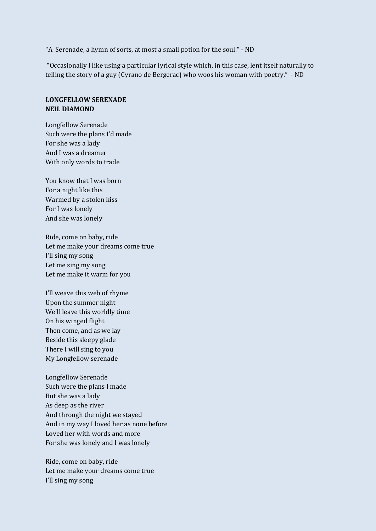"A Serenade, a hymn of sorts, at most a small potion for the soul." - ND

"Occasionally I like using a particular lyrical style which, in this case, lent itself naturally to telling the story of a guy (Cyrano de Bergerac) who woos his woman with poetry." - ND

## **LONGFELLOW SERENADE NEIL DIAMOND**

Longfellow Serenade Such were the plans I'd made For she was a lady And I was a dreamer With only words to trade

You know that I was born For a night like this Warmed by a stolen kiss For I was lonely And she was lonely

Ride, come on baby, ride Let me make your dreams come true I'll sing my song Let me sing my song Let me make it warm for you

I'll weave this web of rhyme Upon the summer night We'll leave this worldly time On his winged flight Then come, and as we lay Beside this sleepy glade There I will sing to you My Longfellow serenade

Longfellow Serenade Such were the plans I made But she was a lady As deep as the river And through the night we stayed And in my way I loved her as none before Loved her with words and more For she was lonely and I was lonely

Ride, come on baby, ride Let me make your dreams come true I'll sing my song